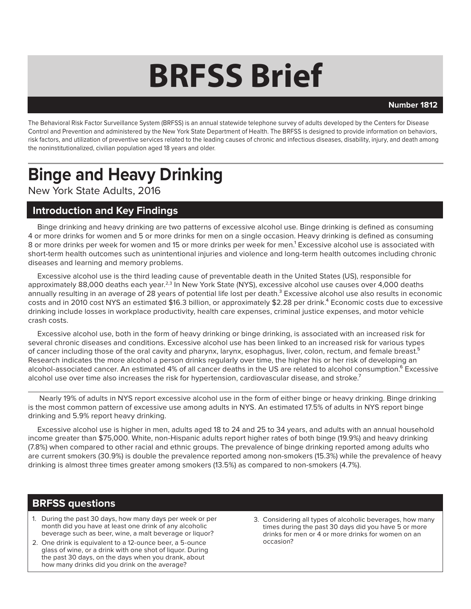# **BRFSS Brief**

#### **Number 1812**

The Behavioral Risk Factor Surveillance System (BRFSS) is an annual statewide telephone survey of adults developed by the Centers for Disease Control and Prevention and administered by the New York State Department of Health. The BRFSS is designed to provide information on behaviors, risk factors, and utilization of preventive services related to the leading causes of chronic and infectious diseases, disability, injury, and death among the noninstitutionalized, civilian population aged 18 years and older.

# **Binge and Heavy Drinking**

New York State Adults, 2016

#### **Introduction and Key Findings**

Binge drinking and heavy drinking are two patterns of excessive alcohol use. Binge drinking is defined as consuming 4 or more drinks for women and 5 or more drinks for men on a single occasion. Heavy drinking is defined as consuming 8 or more drinks per week for women and 15 or more drinks per week for men.<sup>1</sup> Excessive alcohol use is associated with short-term health outcomes such as unintentional injuries and violence and long-term health outcomes including chronic diseases and learning and memory problems.

Excessive alcohol use is the third leading cause of preventable death in the United States (US), responsible for approximately 88,000 deaths each year.<sup>2,3</sup> In New York State (NYS), excessive alcohol use causes over 4,000 deaths annually resulting in an average of 28 years of potential life lost per death.<sup>3</sup> Excessive alcohol use also results in economic costs and in 2010 cost NYS an estimated \$16.3 billion, or approximately \$2.28 per drink.⁴ Economic costs due to excessive drinking include losses in workplace productivity, health care expenses, criminal justice expenses, and motor vehicle crash costs.

Excessive alcohol use, both in the form of heavy drinking or binge drinking, is associated with an increased risk for several chronic diseases and conditions. Excessive alcohol use has been linked to an increased risk for various types of cancer including those of the oral cavity and pharynx, larynx, esophagus, liver, colon, rectum, and female breast.<sup>5</sup> Research indicates the more alcohol a person drinks regularly over time, the higher his or her risk of developing an alcohol-associated cancer. An estimated 4% of all cancer deaths in the US are related to alcohol consumption. Excessive alcohol use over time also increases the risk for hypertension, cardiovascular disease, and stroke.<sup>7</sup>

 Nearly 19% of adults in NYS report excessive alcohol use in the form of either binge or heavy drinking. Binge drinking is the most common pattern of excessive use among adults in NYS. An estimated 17.5% of adults in NYS report binge drinking and 5.9% report heavy drinking.

Excessive alcohol use is higher in men, adults aged 18 to 24 and 25 to 34 years, and adults with an annual household income greater than \$75,000. White, non-Hispanic adults report higher rates of both binge (19.9%) and heavy drinking (7.8%) when compared to other racial and ethnic groups. The prevalence of binge drinking reported among adults who are current smokers (30.9%) is double the prevalence reported among non-smokers (15.3%) while the prevalence of heavy drinking is almost three times greater among smokers (13.5%) as compared to non-smokers (4.7%).

### **BRFSS questions**

- 1. During the past 30 days, how many days per week or per month did you have at least one drink of any alcoholic beverage such as beer, wine, a malt beverage or liquor?
- 2. One drink is equivalent to a 12-ounce beer, a 5-ounce glass of wine, or a drink with one shot of liquor. During the past 30 days, on the days when you drank, about how many drinks did you drink on the average?
- 3. Considering all types of alcoholic beverages, how many times during the past 30 days did you have 5 or more drinks for men or 4 or more drinks for women on an occasion?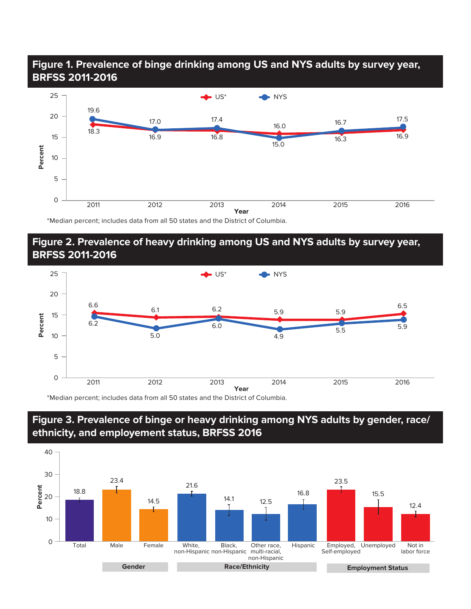## **Figure 1. Prevalence of binge drinking among US and NYS adults by survey year, BRFSS 2011-2016**



\*Median percent; includes data from all 50 states and the District of Columbia.

#### **Figure 2. Prevalence of heavy drinking among US and NYS adults by survey year, BRFSS 2011-2016**



\*Median percent; includes data from all 50 states and the District of Columbia.



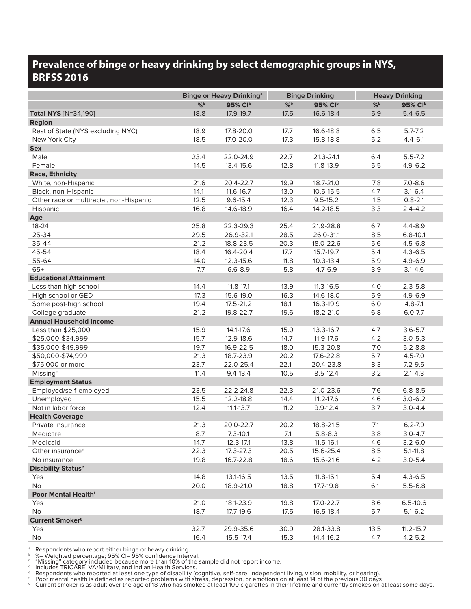# **Prevalence of binge or heavy drinking by select demographic groups in NYS, BRFSS 2016**

|                                         | <b>Binge or Heavy Drinking<sup>a</sup></b> |               | <b>Binge Drinking</b> |               | <b>Heavy Drinking</b> |               |
|-----------------------------------------|--------------------------------------------|---------------|-----------------------|---------------|-----------------------|---------------|
|                                         | $%$ <sub>b</sub>                           | 95% Clb       | $%$ <sub>b</sub>      | 95% CIb       | $%$ <sub>b</sub>      | 95% CIb       |
| <b>Total NYS</b> [N=34,190]             | 18.8                                       | 17.9-19.7     | 17.5                  | 16.6-18.4     | 5.9                   | $5.4 - 6.5$   |
| <b>Region</b>                           |                                            |               |                       |               |                       |               |
| Rest of State (NYS excluding NYC)       | 18.9                                       | 17.8-20.0     | 17.7                  | 16.6-18.8     | 6.5                   | $5.7 - 7.2$   |
| New York City                           | 18.5                                       | 17.0-20.0     | 17.3                  | 15.8-18.8     | 5.2                   | $4.4 - 6.1$   |
| <b>Sex</b>                              |                                            |               |                       |               |                       |               |
| Male                                    | 23.4                                       | 22.0-24.9     | 22.7                  | 21.3-24.1     | 6.4                   | $5.5 - 7.2$   |
| Female                                  | 14.5                                       | 13.4-15.6     | 12.8                  | 11.8-13.9     | 5.5                   | $4.9 - 6.2$   |
| <b>Race, Ethnicity</b>                  |                                            |               |                       |               |                       |               |
| White, non-Hispanic                     | 21.6                                       | 20.4-22.7     | 19.9                  | 18.7-21.0     | 7.8                   | $7.0 - 8.6$   |
| Black, non-Hispanic                     | 14.1                                       | 11.6-16.7     | 13.0                  | $10.5 - 15.5$ | 4.7                   | $3.1 - 6.4$   |
| Other race or multiracial, non-Hispanic | 12.5                                       | $9.6 - 15.4$  | 12.3                  | $9.5 - 15.2$  | 1.5                   | $0.8 - 2.1$   |
| Hispanic                                | 16.8                                       | 14.6-18.9     | 16.4                  | 14.2-18.5     | 3.3                   | $2.4 - 4.2$   |
| Age                                     |                                            |               |                       |               |                       |               |
| 18-24                                   | 25.8                                       | 22.3-29.3     | 25.4                  | 21.9-28.8     | 6.7                   | $4.4 - 8.9$   |
| 25-34                                   | 29.5                                       | 26.9-32.1     | 28.5                  | 26.0-31.1     | 8.5                   | $6.8 - 10.1$  |
| 35-44                                   | 21.2                                       | 18.8-23.5     | 20.3                  | 18.0-22.6     | 5.6                   | $4.5 - 6.8$   |
| 45-54                                   | 18.4                                       | 16.4-20.4     | 17.7                  | 15.7-19.7     | 5.4                   | $4.3 - 6.5$   |
| 55-64                                   | 14.0                                       | 12.3-15.6     | 11.8                  | $10.3 - 13.4$ | 5.9                   | $4.9 - 6.9$   |
| $65+$                                   | 7.7                                        | $6.6 - 8.9$   | 5.8                   | $4.7 - 6.9$   | 3.9                   | $3.1 - 4.6$   |
| <b>Educational Attainment</b>           |                                            |               |                       |               |                       |               |
| Less than high school                   | 14.4                                       | $11.8 - 17.1$ | 13.9                  | $11.3 - 16.5$ | 4.0                   | $2.3 - 5.8$   |
| High school or GED                      | 17.3                                       | 15.6-19.0     | 16.3                  | 14.6-18.0     | 5.9                   | $4.9 - 6.9$   |
| Some post-high school                   | 19.4                                       | 17.5-21.2     | 18.1                  | 16.3-19.9     | 6.0                   | $4.8 - 7.1$   |
| College graduate                        | 21.2                                       | 19.8-22.7     | 19.6                  | 18.2-21.0     | 6.8                   | $6.0 - 7.7$   |
| <b>Annual Household Income</b>          |                                            |               |                       |               |                       |               |
| Less than \$25,000                      | 15.9                                       | 14.1-17.6     | 15.0                  | 13.3-16.7     | 4.7                   | $3.6 - 5.7$   |
| \$25,000-\$34,999                       | 15.7                                       | 12.9-18.6     | 14.7                  | 11.9-17.6     | 4.2                   | $3.0 - 5.3$   |
| \$35,000-\$49,999                       | 19.7                                       | 16.9-22.5     | 18.0                  | 15.3-20.8     | 7.0                   | $5.2 - 8.8$   |
| \$50,000-\$74,999                       | 21.3                                       | 18.7-23.9     | 20.2                  | 17.6-22.8     | 5.7                   | $4.5 - 7.0$   |
| \$75,000 or more                        | 23.7                                       | 22.0-25.4     | 22.1                  | 20.4-23.8     | 8.3                   | $7.2 - 9.5$   |
| Missing <sup>c</sup>                    | 11.4                                       | $9.4 - 13.4$  | 10.5                  | $8.5 - 12.4$  | 3.2                   | $2.1 - 4.3$   |
| <b>Employment Status</b>                |                                            |               |                       |               |                       |               |
| Employed/self-employed                  | 23.5                                       | 22.2-24.8     | 22.3                  | 21.0-23.6     | 7.6                   | $6.8 - 8.5$   |
| Unemployed                              | 15.5                                       | 12.2-18.8     | 14.4                  | 11.2-17.6     | 4.6                   | $3.0 - 6.2$   |
| Not in labor force                      | 12.4                                       | $11.1 - 13.7$ | 11.2                  | $9.9 - 12.4$  | 3.7                   | $3.0 - 4.4$   |
| <b>Health Coverage</b>                  |                                            |               |                       |               |                       |               |
| Private insurance                       | 21.3                                       | 20.0-22.7     | 20.2                  | 18.8-21.5     | 7.1                   | $6.2 - 7.9$   |
| Medicare                                | 8.7                                        | $7.3 - 10.1$  | 7.1                   | $5.8 - 8.3$   | 3.8                   | $3.0 - 4.7$   |
| Medicaid                                | 14.7                                       | 12.3-17.1     | 13.8                  | 11.5-16.1     | 4.6                   | $3.2 - 6.0$   |
| Other insurance <sup>d</sup>            | 22.3                                       | 17.3-27.3     | 20.5                  | 15.6-25.4     | 8.5                   | $5.1 - 11.8$  |
| No insurance                            | 19.8                                       | 16.7-22.8     | 18.6                  | 15.6-21.6     | 4.2                   | $3.0 - 5.4$   |
| <b>Disability Status®</b>               |                                            |               |                       |               |                       |               |
| Yes                                     | 14.8                                       | 13.1-16.5     | 13.5                  | 11.8-15.1     | 5.4                   | $4.3 - 6.5$   |
| No                                      | 20.0                                       | 18.9-21.0     | 18.8                  | 17.7-19.8     | 6.1                   | $5.5 - 6.8$   |
| Poor Mental Health <sup>f</sup>         |                                            |               |                       |               |                       |               |
| Yes                                     | 21.0                                       | 18.1-23.9     | 19.8                  | 17.0-22.7     | 8.6                   | $6.5 - 10.6$  |
| No                                      | 18.7                                       | 17.7-19.6     | 17.5                  | 16.5-18.4     | 5.7                   | $5.1 - 6.2$   |
| <b>Current Smoker<sup>9</sup></b>       |                                            |               |                       |               |                       |               |
| Yes                                     | 32.7                                       | 29.9-35.6     | 30.9                  | 28.1-33.8     | 13.5                  | $11.2 - 15.7$ |
| No                                      | 16.4                                       | 15.5-17.4     | 15.3                  | 14.4-16.2     | 4.7                   | $4.2 - 5.2$   |

<sup>a</sup> Respondents who report either binge or heavy drinking.

b %= Weighted percentage; 95% CI= 95% confidence interval.<br><sup>c</sup> "Missing" category included because more than 10% of the sample did not report income.<br><sup>d</sup> Includes TRICARE, VA/Military, and Indian Health Services.<br><sup>e</sup> Resp